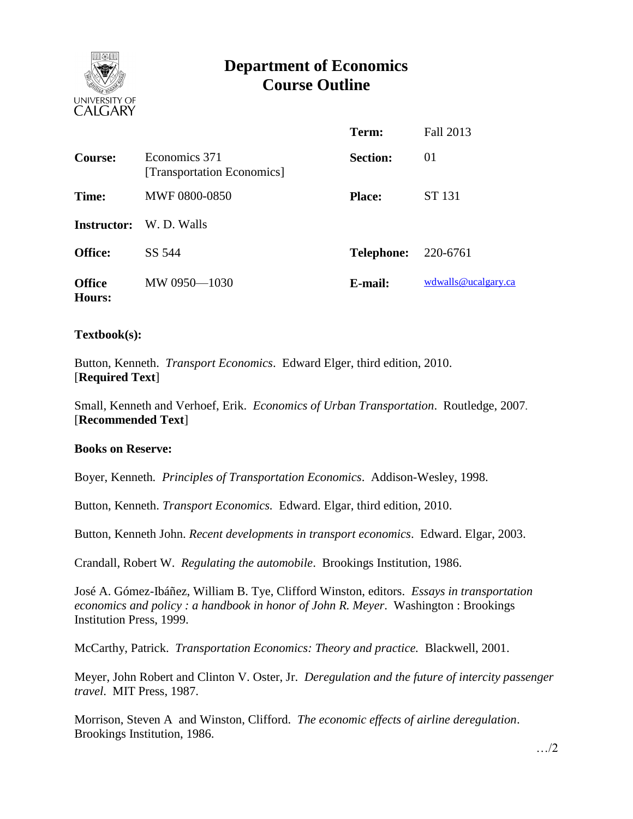

# **Department of Economics Course Outline**

|                                |                                             | Term:                      | Fall 2013           |
|--------------------------------|---------------------------------------------|----------------------------|---------------------|
| Course:                        | Economics 371<br>[Transportation Economics] | <b>Section:</b>            | 01                  |
| Time:                          | <b>MWF 0800-0850</b>                        | <b>Place:</b>              | <b>ST 131</b>       |
| Instructor:                    | W. D. Walls                                 |                            |                     |
| <b>Office:</b>                 | SS 544                                      | <b>Telephone:</b> 220-6761 |                     |
| <b>Office</b><br><b>Hours:</b> | MW 0950-1030                                | E-mail:                    | wdwalls@ucalgary.ca |

### **Textbook(s):**

Button, Kenneth. *Transport Economics*. Edward Elger, third edition, 2010. [**Required Text**]

Small, Kenneth and Verhoef, Erik. *Economics of Urban Transportation*. Routledge, 2007. [**Recommended Text**]

### **Books on Reserve:**

Boyer, Kenneth*. Principles of Transportation Economics*. Addison-Wesley, 1998.

Button, Kenneth. *Transport Economics.* Edward. Elgar, third edition, 2010.

Button, Kenneth John. *Recent developments in transport economics*. Edward. Elgar, 2003.

Crandall, Robert W. *Regulating the automobile*. Brookings Institution, 1986.

José A. Gómez-Ibáñez, William B. Tye, Clifford Winston, editors. *Essays in transportation economics and policy : a handbook in honor of John R. Meyer*. Washington : Brookings Institution Press, 1999.

McCarthy, Patrick. *Transportation Economics: Theory and practice.* Blackwell, 2001.

Meyer, John Robert and Clinton V. Oster, Jr. *Deregulation and the future of intercity passenger travel*. MIT Press, 1987.

Morrison, Steven A and Winston, Clifford. *The economic effects of airline deregulation*. Brookings Institution, 1986.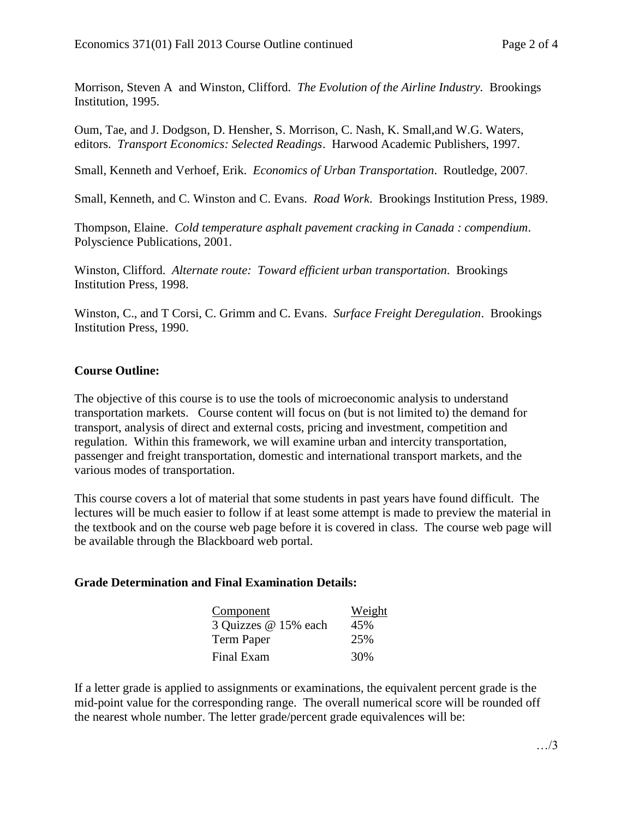Morrison, Steven A and Winston, Clifford. *The Evolution of the Airline Industry.* Brookings Institution, 1995.

Oum, Tae, and J. Dodgson, D. Hensher, S. Morrison, C. Nash, K. Small,and W.G. Waters, editors. *Transport Economics: Selected Readings*. Harwood Academic Publishers, 1997.

Small, Kenneth and Verhoef, Erik. *Economics of Urban Transportation*. Routledge, 2007.

Small, Kenneth, and C. Winston and C. Evans. *Road Work*. Brookings Institution Press, 1989.

Thompson, Elaine. *Cold temperature asphalt pavement cracking in Canada : compendium*. Polyscience Publications, 2001.

Winston, Clifford. *Alternate route: Toward efficient urban transportation*. Brookings Institution Press, 1998.

Winston, C., and T Corsi, C. Grimm and C. Evans. *Surface Freight Deregulation*. Brookings Institution Press, 1990.

## **Course Outline:**

The objective of this course is to use the tools of microeconomic analysis to understand transportation markets. Course content will focus on (but is not limited to) the demand for transport, analysis of direct and external costs, pricing and investment, competition and regulation. Within this framework, we will examine urban and intercity transportation, passenger and freight transportation, domestic and international transport markets, and the various modes of transportation.

This course covers a lot of material that some students in past years have found difficult. The lectures will be much easier to follow if at least some attempt is made to preview the material in the textbook and on the course web page before it is covered in class. The course web page will be available through the Blackboard web portal.

## **Grade Determination and Final Examination Details:**

| Component            | Weight |  |  |
|----------------------|--------|--|--|
| 3 Quizzes @ 15% each | 45%    |  |  |
| Term Paper           | 25%    |  |  |
| Final Exam           | 30%    |  |  |

If a letter grade is applied to assignments or examinations, the equivalent percent grade is the mid-point value for the corresponding range. The overall numerical score will be rounded off the nearest whole number. The letter grade/percent grade equivalences will be: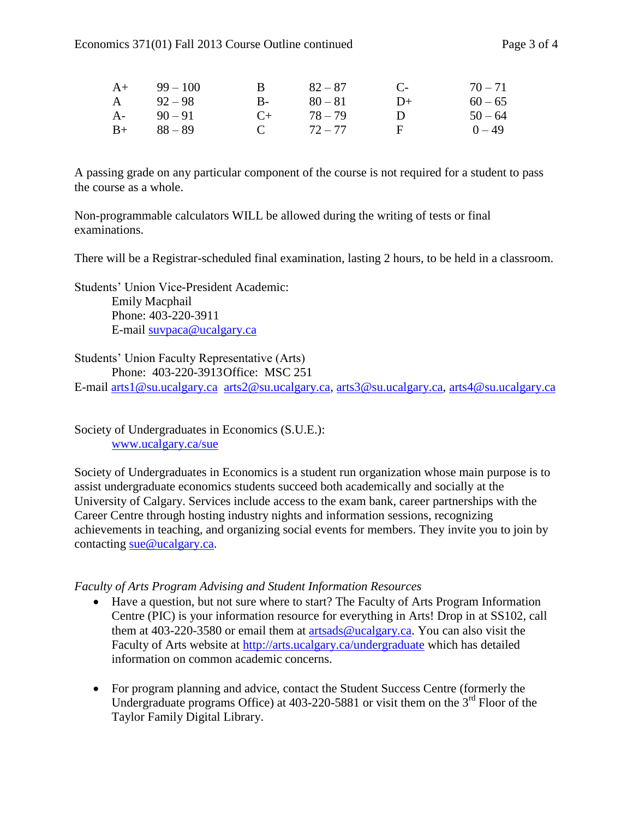| $A+$  | $99 - 100$ | $\mathbf{B}$ | $82 - 87$ | $\mathbb{C}$ | $70 - 71$ |
|-------|------------|--------------|-----------|--------------|-----------|
| A     | $92 - 98$  | $B-$         | $80 - 81$ | $D+$         | $60 - 65$ |
| $A$ - | $90 - 91$  | $($ +        | $78 - 79$ | $\mathbf{D}$ | $50 - 64$ |
| $B+$  | 88 – 89    | $\mathbf{C}$ | $72 - 77$ | F.           | $0 - 49$  |

A passing grade on any particular component of the course is not required for a student to pass the course as a whole.

Non-programmable calculators WILL be allowed during the writing of tests or final examinations.

There will be a Registrar-scheduled final examination, lasting 2 hours, to be held in a classroom.

Students' Union Vice-President Academic: Emily Macphail Phone: 403-220-3911 E-mail [suvpaca@ucalgary.ca](mailto:subpaca@ucalgary.ca)

Students' Union Faculty Representative (Arts)

Phone: 403-220-3913Office: MSC 251

E-mail [arts1@su.ucalgary.ca](mailto:arts1@su.ucalgary.ca) [arts2@su.ucalgary.ca,](mailto:arts2@su.ucalgary.ca) [arts3@su.ucalgary.ca,](mailto:arts3@su.ucalgary.ca) [arts4@su.ucalgary.ca](mailto:arts4@su.ucalgary.ca)

Society of Undergraduates in Economics (S.U.E.): [www.ucalgary.ca/sue](http://www.fp.ucalgary.ca/econ)

Society of Undergraduates in Economics is a student run organization whose main purpose is to assist undergraduate economics students succeed both academically and socially at the University of Calgary. Services include access to the exam bank, career partnerships with the Career Centre through hosting industry nights and information sessions, recognizing achievements in teaching, and organizing social events for members. They invite you to join by contacting [sue@ucalgary.ca.](mailto:sue@ucalgary.ca)

### *Faculty of Arts Program Advising and Student Information Resources*

- Have a question, but not sure where to start? The Faculty of Arts Program Information Centre (PIC) is your information resource for everything in Arts! Drop in at SS102, call them at 403-220-3580 or email them at [artsads@ucalgary.ca.](mailto:artsads@ucalgary.ca) You can also visit the Faculty of Arts website at<http://arts.ucalgary.ca/undergraduate> which has detailed information on common academic concerns.
- For program planning and advice, contact the Student Success Centre (formerly the Undergraduate programs Office) at 403-220-5881 or visit them on the 3<sup>rd</sup> Floor of the Taylor Family Digital Library.